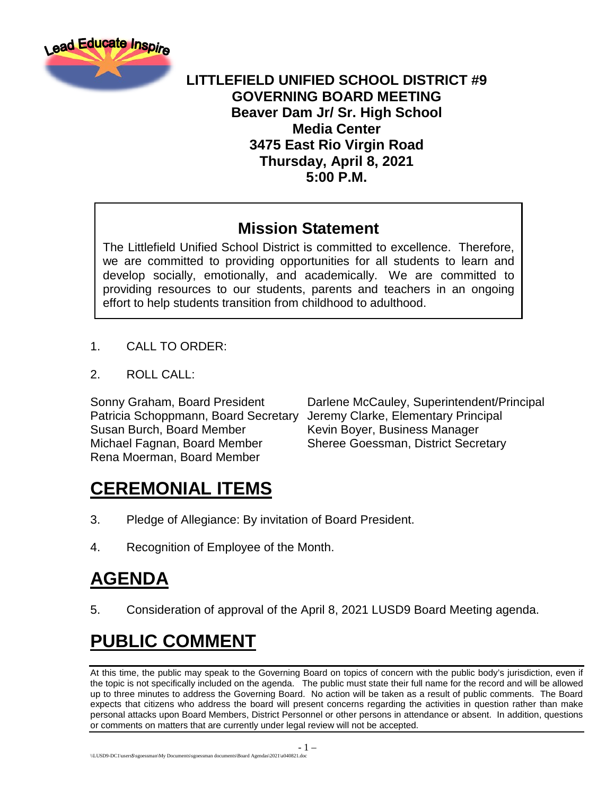

### **LITTLEFIELD UNIFIED SCHOOL DISTRICT #9 GOVERNING BOARD MEETING Beaver Dam Jr/ Sr. High School Media Center 3475 East Rio Virgin Road Thursday, April 8, 2021 5:00 P.M.**

### **Mission Statement**

The Littlefield Unified School District is committed to excellence. Therefore, we are committed to providing opportunities for all students to learn and develop socially, emotionally, and academically. We are committed to providing resources to our students, parents and teachers in an ongoing effort to help students transition from childhood to adulthood.

- 1. CALL TO ORDER:
- 2. ROLL CALL:

Patricia Schoppmann, Board Secretary Jeremy Clarke, Elementary Principal Susan Burch, Board Member Kevin Boyer, Business Manager Michael Fagnan, Board Member Sheree Goessman, District Secretary Rena Moerman, Board Member

Sonny Graham, Board President Darlene McCauley, Superintendent/Principal

### **CEREMONIAL ITEMS**

- 3. Pledge of Allegiance: By invitation of Board President.
- 4. Recognition of Employee of the Month.

### **AGENDA**

5. Consideration of approval of the April 8, 2021 LUSD9 Board Meeting agenda.

### **PUBLIC COMMENT**

At this time, the public may speak to the Governing Board on topics of concern with the public body's jurisdiction, even if the topic is not specifically included on the agenda. The public must state their full name for the record and will be allowed up to three minutes to address the Governing Board. No action will be taken as a result of public comments. The Board expects that citizens who address the board will present concerns regarding the activities in question rather than make personal attacks upon Board Members, District Personnel or other persons in attendance or absent. In addition, questions or comments on matters that are currently under legal review will not be accepted.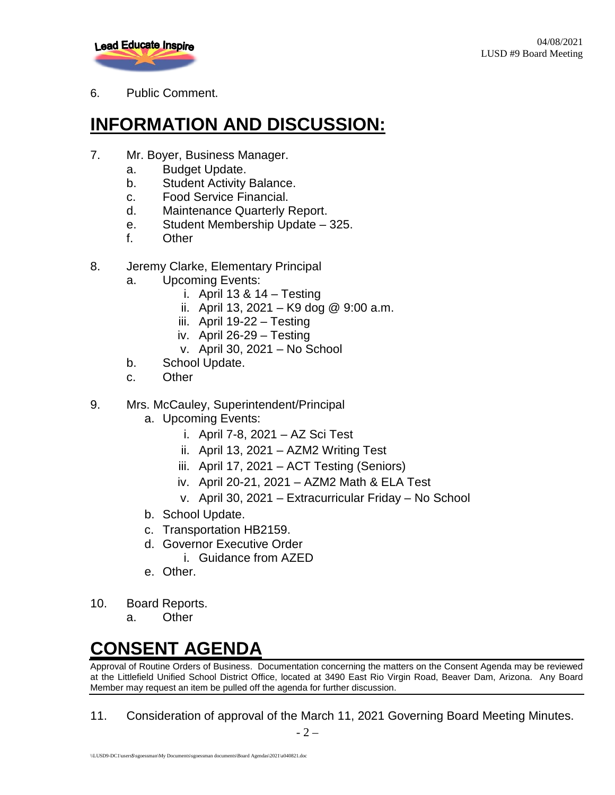

#### 6. Public Comment.

# **INFORMATION AND DISCUSSION:**

- 7. Mr. Boyer, Business Manager.
	- a. Budget Update.
	- b. Student Activity Balance.
	- c. Food Service Financial.
	- d. Maintenance Quarterly Report.
	- e. Student Membership Update 325.
	- f. Other
- 8. Jeremy Clarke, Elementary Principal
	- a. Upcoming Events:
		- i. April  $13 & 14 Testing$
		- ii. April 13, 2021 K9 dog @ 9:00 a.m.
		- iii. April 19-22 Testing
		- iv. April 26-29 Testing
		- v. April 30, 2021 No School
	- b. School Update.
	- c. Other
- 9. Mrs. McCauley, Superintendent/Principal
	- a. Upcoming Events:
		- i. April 7-8, 2021 AZ Sci Test
		- ii. April 13, 2021 AZM2 Writing Test
		- iii. April 17, 2021 ACT Testing (Seniors)
		- iv. April 20-21, 2021 AZM2 Math & ELA Test
		- v. April 30, 2021 Extracurricular Friday No School
	- b. School Update.
	- c. Transportation HB2159.
	- d. Governor Executive Order
		- i. Guidance from AZED
	- e. Other.
- 10. Board Reports.
	- a. Other

# **CONSENT AGENDA**

Approval of Routine Orders of Business. Documentation concerning the matters on the Consent Agenda may be reviewed at the Littlefield Unified School District Office, located at 3490 East Rio Virgin Road, Beaver Dam, Arizona. Any Board Member may request an item be pulled off the agenda for further discussion.

11. Consideration of approval of the March 11, 2021 Governing Board Meeting Minutes.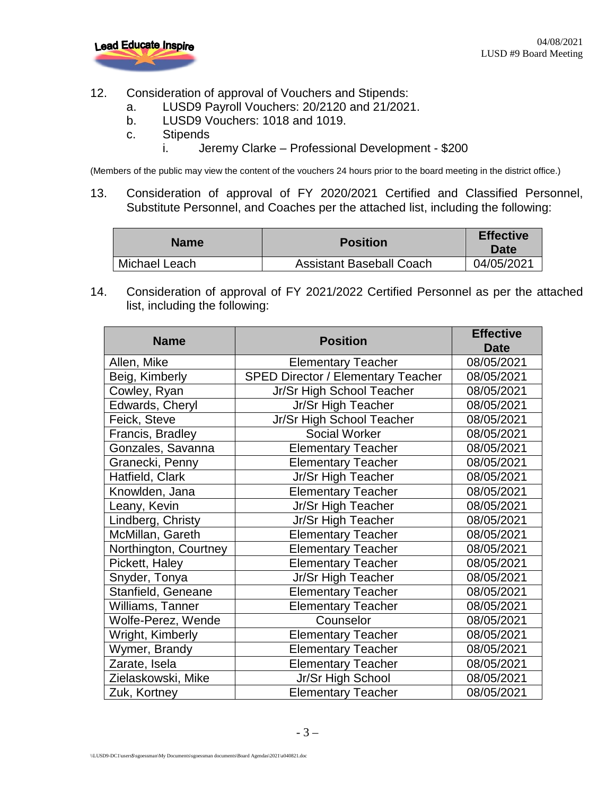

- 12. Consideration of approval of Vouchers and Stipends:
	- a. LUSD9 Payroll Vouchers: 20/2120 and 21/2021.
	- b. LUSD9 Vouchers: 1018 and 1019.
	- c. Stipends
		- i. Jeremy Clarke Professional Development \$200

(Members of the public may view the content of the vouchers 24 hours prior to the board meeting in the district office.)

13. Consideration of approval of FY 2020/2021 Certified and Classified Personnel, Substitute Personnel, and Coaches per the attached list, including the following:

| <b>Name</b>   | <b>Position</b>                 | <b>Effective</b><br><b>Date</b> |
|---------------|---------------------------------|---------------------------------|
| Michael Leach | <b>Assistant Baseball Coach</b> | 04/05/2021                      |

14. Consideration of approval of FY 2021/2022 Certified Personnel as per the attached list, including the following:

| <b>Name</b>           | <b>Position</b>                           | <b>Effective</b> |
|-----------------------|-------------------------------------------|------------------|
|                       |                                           | Date             |
| Allen, Mike           | <b>Elementary Teacher</b>                 | 08/05/2021       |
| Beig, Kimberly        | <b>SPED Director / Elementary Teacher</b> | 08/05/2021       |
| Cowley, Ryan          | Jr/Sr High School Teacher                 | 08/05/2021       |
| Edwards, Cheryl       | Jr/Sr High Teacher                        | 08/05/2021       |
| Feick, Steve          | Jr/Sr High School Teacher                 | 08/05/2021       |
| Francis, Bradley      | <b>Social Worker</b>                      | 08/05/2021       |
| Gonzales, Savanna     | <b>Elementary Teacher</b>                 | 08/05/2021       |
| Granecki, Penny       | <b>Elementary Teacher</b>                 | 08/05/2021       |
| Hatfield, Clark       | Jr/Sr High Teacher                        | 08/05/2021       |
| Knowlden, Jana        | <b>Elementary Teacher</b>                 | 08/05/2021       |
| Leany, Kevin          | Jr/Sr High Teacher                        | 08/05/2021       |
| Lindberg, Christy     | Jr/Sr High Teacher                        | 08/05/2021       |
| McMillan, Gareth      | <b>Elementary Teacher</b>                 | 08/05/2021       |
| Northington, Courtney | <b>Elementary Teacher</b>                 | 08/05/2021       |
| Pickett, Haley        | <b>Elementary Teacher</b>                 | 08/05/2021       |
| Snyder, Tonya         | Jr/Sr High Teacher                        | 08/05/2021       |
| Stanfield, Geneane    | <b>Elementary Teacher</b>                 | 08/05/2021       |
| Williams, Tanner      | <b>Elementary Teacher</b>                 | 08/05/2021       |
| Wolfe-Perez, Wende    | Counselor                                 | 08/05/2021       |
| Wright, Kimberly      | <b>Elementary Teacher</b>                 | 08/05/2021       |
| Wymer, Brandy         | <b>Elementary Teacher</b>                 | 08/05/2021       |
| Zarate, Isela         | <b>Elementary Teacher</b>                 | 08/05/2021       |
| Zielaskowski, Mike    | Jr/Sr High School                         | 08/05/2021       |
| Zuk, Kortney          | <b>Elementary Teacher</b>                 | 08/05/2021       |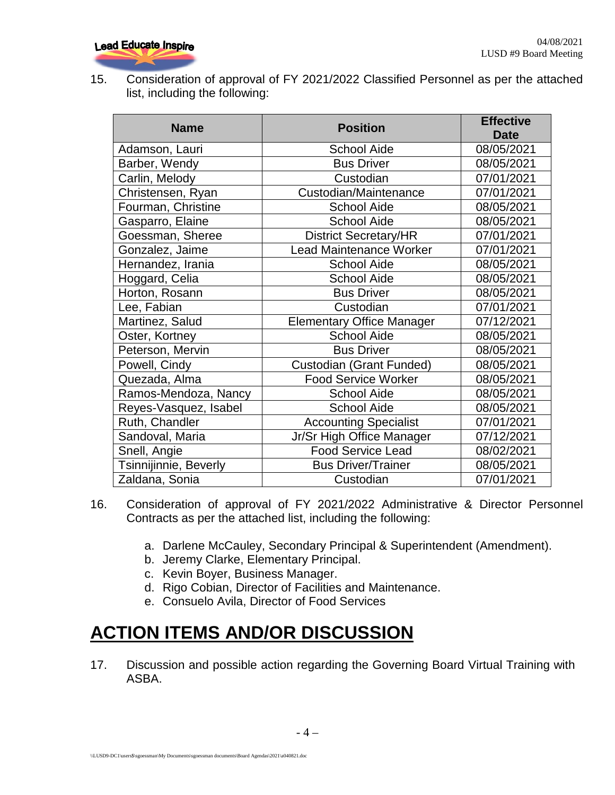15. Consideration of approval of FY 2021/2022 Classified Personnel as per the attached list, including the following:

| <b>Name</b>           | <b>Position</b>                  | <b>Effective</b> |
|-----------------------|----------------------------------|------------------|
|                       |                                  | <b>Date</b>      |
| Adamson, Lauri        | <b>School Aide</b>               | 08/05/2021       |
| Barber, Wendy         | <b>Bus Driver</b>                | 08/05/2021       |
| Carlin, Melody        | Custodian                        | 07/01/2021       |
| Christensen, Ryan     | Custodian/Maintenance            | 07/01/2021       |
| Fourman, Christine    | <b>School Aide</b>               | 08/05/2021       |
| Gasparro, Elaine      | <b>School Aide</b>               | 08/05/2021       |
| Goessman, Sheree      | <b>District Secretary/HR</b>     | 07/01/2021       |
| Gonzalez, Jaime       | Lead Maintenance Worker          | 07/01/2021       |
| Hernandez, Irania     | <b>School Aide</b>               | 08/05/2021       |
| Hoggard, Celia        | <b>School Aide</b>               | 08/05/2021       |
| Horton, Rosann        | <b>Bus Driver</b>                | 08/05/2021       |
| Lee, Fabian           | Custodian                        | 07/01/2021       |
| Martinez, Salud       | <b>Elementary Office Manager</b> | 07/12/2021       |
| Oster, Kortney        | <b>School Aide</b>               | 08/05/2021       |
| Peterson, Mervin      | <b>Bus Driver</b>                | 08/05/2021       |
| Powell, Cindy         | Custodian (Grant Funded)         | 08/05/2021       |
| Quezada, Alma         | <b>Food Service Worker</b>       | 08/05/2021       |
| Ramos-Mendoza, Nancy  | <b>School Aide</b>               | 08/05/2021       |
| Reyes-Vasquez, Isabel | <b>School Aide</b>               | 08/05/2021       |
| Ruth, Chandler        | <b>Accounting Specialist</b>     | 07/01/2021       |
| Sandoval, Maria       | Jr/Sr High Office Manager        | 07/12/2021       |
| Snell, Angie          | <b>Food Service Lead</b>         | 08/02/2021       |
| Tsinnijinnie, Beverly | <b>Bus Driver/Trainer</b>        | 08/05/2021       |
| Zaldana, Sonia        | Custodian                        | 07/01/2021       |

- 16. Consideration of approval of FY 2021/2022 Administrative & Director Personnel Contracts as per the attached list, including the following:
	- a. Darlene McCauley, Secondary Principal & Superintendent (Amendment).
	- b. Jeremy Clarke, Elementary Principal.
	- c. Kevin Boyer, Business Manager.
	- d. Rigo Cobian, Director of Facilities and Maintenance.
	- e. Consuelo Avila, Director of Food Services

# **ACTION ITEMS AND/OR DISCUSSION**

17. Discussion and possible action regarding the Governing Board Virtual Training with ASBA.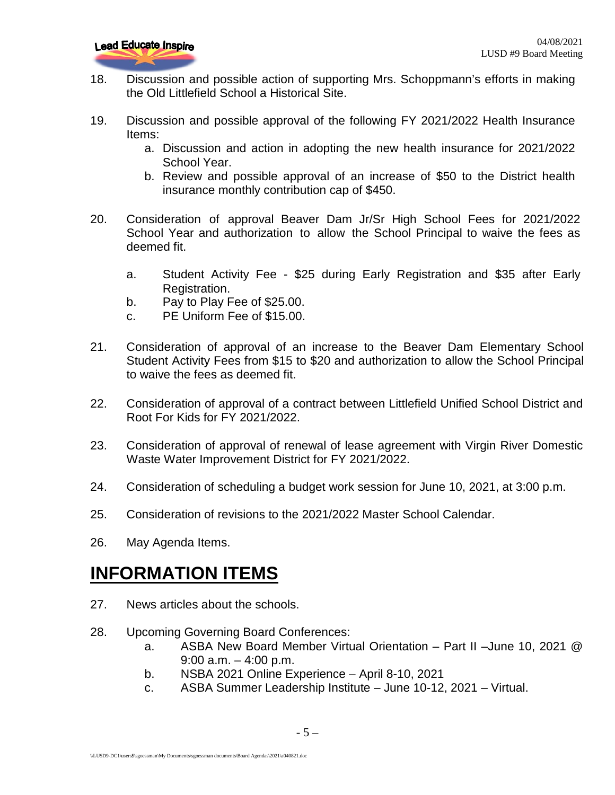- 18. Discussion and possible action of supporting Mrs. Schoppmann's efforts in making the Old Littlefield School a Historical Site.
- 19. Discussion and possible approval of the following FY 2021/2022 Health Insurance Items:
	- a. Discussion and action in adopting the new health insurance for 2021/2022 School Year.
	- b. Review and possible approval of an increase of \$50 to the District health insurance monthly contribution cap of \$450.
- 20. Consideration of approval Beaver Dam Jr/Sr High School Fees for 2021/2022 School Year and authorization to allow the School Principal to waive the fees as deemed fit.
	- a. Student Activity Fee \$25 during Early Registration and \$35 after Early Registration.
	- b. Pay to Play Fee of \$25.00.
	- c. PE Uniform Fee of \$15.00.
- 21. Consideration of approval of an increase to the Beaver Dam Elementary School Student Activity Fees from \$15 to \$20 and authorization to allow the School Principal to waive the fees as deemed fit.
- 22. Consideration of approval of a contract between Littlefield Unified School District and Root For Kids for FY 2021/2022.
- 23. Consideration of approval of renewal of lease agreement with Virgin River Domestic Waste Water Improvement District for FY 2021/2022.
- 24. Consideration of scheduling a budget work session for June 10, 2021, at 3:00 p.m.
- 25. Consideration of revisions to the 2021/2022 Master School Calendar.
- 26. May Agenda Items.

### **INFORMATION ITEMS**

- 27. News articles about the schools.
- 28. Upcoming Governing Board Conferences:
	- a. ASBA New Board Member Virtual Orientation Part II –June 10, 2021 @ 9:00 a.m.  $-4:00$  p.m.
	- b. NSBA 2021 Online Experience April 8-10, 2021
	- c. ASBA Summer Leadership Institute June 10-12, 2021 Virtual.